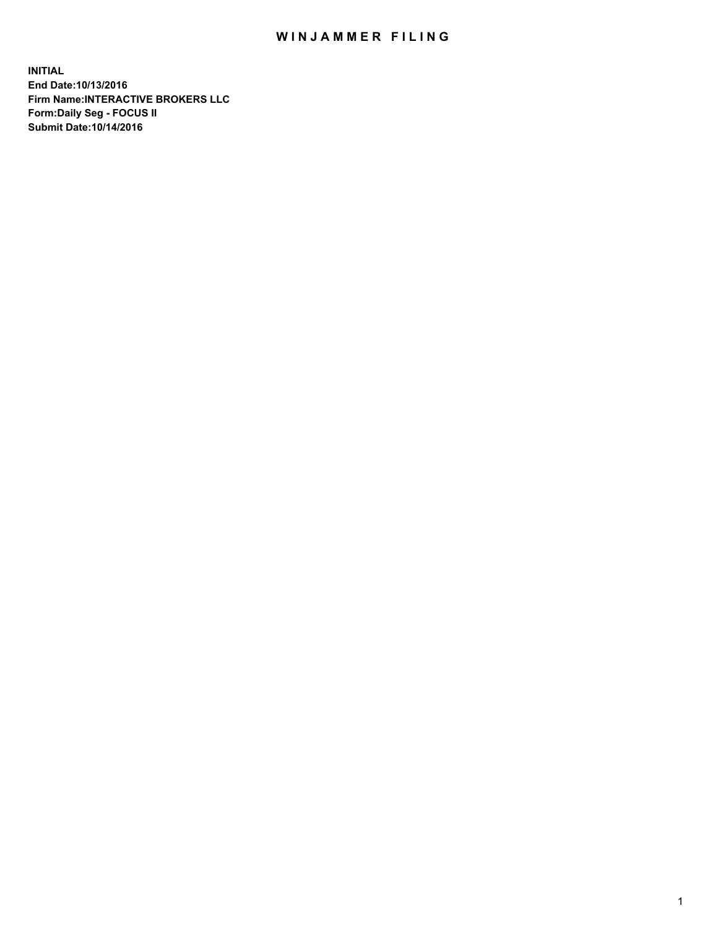## WIN JAMMER FILING

**INITIAL End Date:10/13/2016 Firm Name:INTERACTIVE BROKERS LLC Form:Daily Seg - FOCUS II Submit Date:10/14/2016**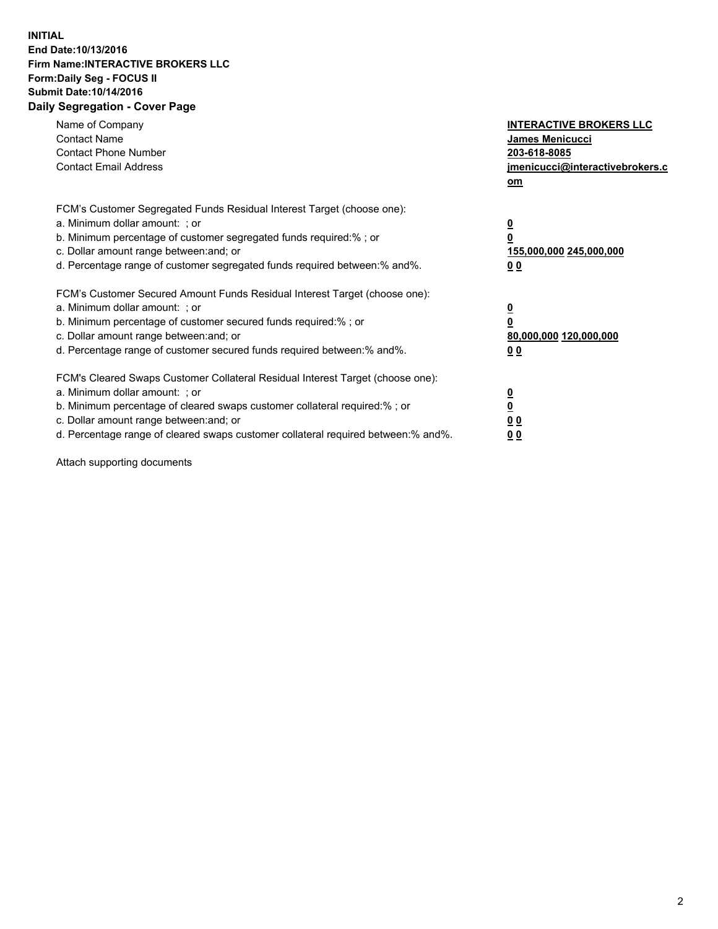## **INITIAL End Date:10/13/2016 Firm Name:INTERACTIVE BROKERS LLC Form:Daily Seg - FOCUS II Submit Date:10/14/2016 Daily Segregation - Cover Page**

| Name of Company<br><b>Contact Name</b><br><b>Contact Phone Number</b><br><b>Contact Email Address</b>                                                                                                                                                                                                                          | <b>INTERACTIVE BROKERS LLC</b><br><b>James Menicucci</b><br>203-618-8085<br>jmenicucci@interactivebrokers.c<br>om |
|--------------------------------------------------------------------------------------------------------------------------------------------------------------------------------------------------------------------------------------------------------------------------------------------------------------------------------|-------------------------------------------------------------------------------------------------------------------|
| FCM's Customer Segregated Funds Residual Interest Target (choose one):<br>a. Minimum dollar amount: ; or<br>b. Minimum percentage of customer segregated funds required:%; or<br>c. Dollar amount range between: and; or<br>d. Percentage range of customer segregated funds required between:% and%.                          | $\overline{\mathbf{0}}$<br>0<br>155,000,000 245,000,000<br>0 <sub>0</sub>                                         |
| FCM's Customer Secured Amount Funds Residual Interest Target (choose one):<br>a. Minimum dollar amount: ; or<br>b. Minimum percentage of customer secured funds required:%; or<br>c. Dollar amount range between: and; or<br>d. Percentage range of customer secured funds required between: % and %.                          | $\overline{\mathbf{0}}$<br>0<br>80,000,000 120,000,000<br>0 <sub>0</sub>                                          |
| FCM's Cleared Swaps Customer Collateral Residual Interest Target (choose one):<br>a. Minimum dollar amount: ; or<br>b. Minimum percentage of cleared swaps customer collateral required:% ; or<br>c. Dollar amount range between: and; or<br>d. Percentage range of cleared swaps customer collateral required between:% and%. | $\overline{\mathbf{0}}$<br>$\overline{\mathbf{0}}$<br>0 <sub>0</sub><br><u>00</u>                                 |

Attach supporting documents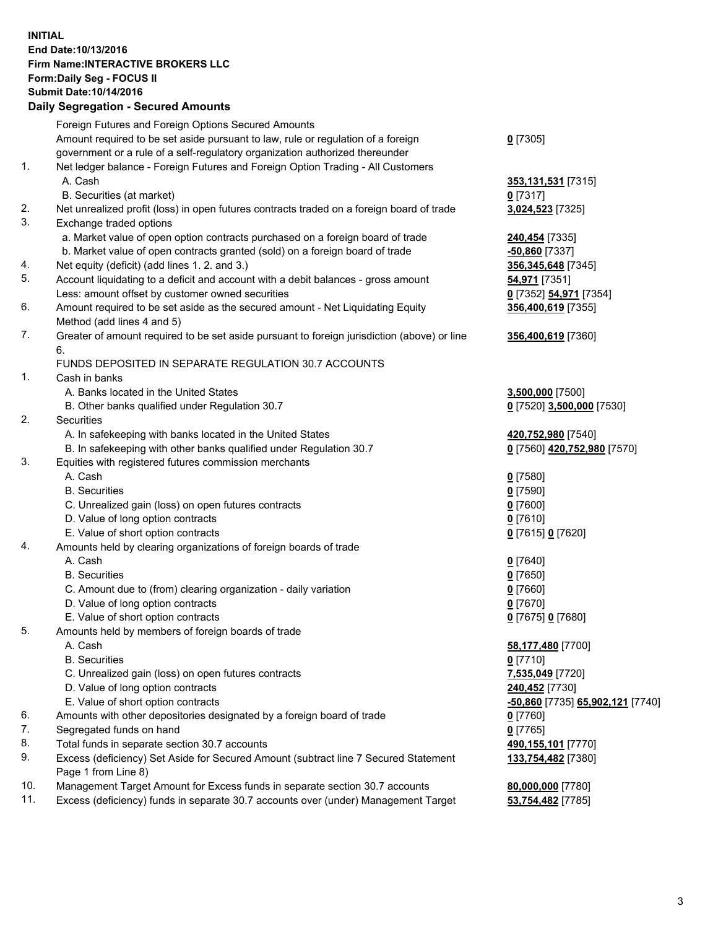## **INITIAL End Date:10/13/2016 Firm Name:INTERACTIVE BROKERS LLC Form:Daily Seg - FOCUS II Submit Date:10/14/2016 Daily Segregation - Secured Amounts**

| Daily Jegregation - Jeculed Aniounts                                                        |                                                                                                                                                                                                                                                                                                                                                                                                                                                                                                                                                                                                                                            |
|---------------------------------------------------------------------------------------------|--------------------------------------------------------------------------------------------------------------------------------------------------------------------------------------------------------------------------------------------------------------------------------------------------------------------------------------------------------------------------------------------------------------------------------------------------------------------------------------------------------------------------------------------------------------------------------------------------------------------------------------------|
| Foreign Futures and Foreign Options Secured Amounts                                         |                                                                                                                                                                                                                                                                                                                                                                                                                                                                                                                                                                                                                                            |
| Amount required to be set aside pursuant to law, rule or regulation of a foreign            | $0$ [7305]                                                                                                                                                                                                                                                                                                                                                                                                                                                                                                                                                                                                                                 |
| government or a rule of a self-regulatory organization authorized thereunder                |                                                                                                                                                                                                                                                                                                                                                                                                                                                                                                                                                                                                                                            |
| Net ledger balance - Foreign Futures and Foreign Option Trading - All Customers             |                                                                                                                                                                                                                                                                                                                                                                                                                                                                                                                                                                                                                                            |
| A. Cash                                                                                     | 353,131,531 [7315]                                                                                                                                                                                                                                                                                                                                                                                                                                                                                                                                                                                                                         |
| B. Securities (at market)                                                                   | $0$ [7317]                                                                                                                                                                                                                                                                                                                                                                                                                                                                                                                                                                                                                                 |
| Net unrealized profit (loss) in open futures contracts traded on a foreign board of trade   | 3,024,523 [7325]                                                                                                                                                                                                                                                                                                                                                                                                                                                                                                                                                                                                                           |
| Exchange traded options                                                                     |                                                                                                                                                                                                                                                                                                                                                                                                                                                                                                                                                                                                                                            |
| a. Market value of open option contracts purchased on a foreign board of trade              | 240,454 [7335]                                                                                                                                                                                                                                                                                                                                                                                                                                                                                                                                                                                                                             |
| b. Market value of open contracts granted (sold) on a foreign board of trade                | $-50,860$ [7337]                                                                                                                                                                                                                                                                                                                                                                                                                                                                                                                                                                                                                           |
| Net equity (deficit) (add lines 1. 2. and 3.)                                               | 356, 345, 648 [7345]                                                                                                                                                                                                                                                                                                                                                                                                                                                                                                                                                                                                                       |
| Account liquidating to a deficit and account with a debit balances - gross amount           | 54,971 [7351]                                                                                                                                                                                                                                                                                                                                                                                                                                                                                                                                                                                                                              |
| Less: amount offset by customer owned securities                                            | 0 [7352] 54,971 [7354]                                                                                                                                                                                                                                                                                                                                                                                                                                                                                                                                                                                                                     |
| Amount required to be set aside as the secured amount - Net Liquidating Equity              | 356,400,619 [7355]                                                                                                                                                                                                                                                                                                                                                                                                                                                                                                                                                                                                                         |
| Method (add lines 4 and 5)                                                                  |                                                                                                                                                                                                                                                                                                                                                                                                                                                                                                                                                                                                                                            |
| Greater of amount required to be set aside pursuant to foreign jurisdiction (above) or line | 356,400,619 [7360]                                                                                                                                                                                                                                                                                                                                                                                                                                                                                                                                                                                                                         |
| 6.                                                                                          |                                                                                                                                                                                                                                                                                                                                                                                                                                                                                                                                                                                                                                            |
| FUNDS DEPOSITED IN SEPARATE REGULATION 30.7 ACCOUNTS                                        |                                                                                                                                                                                                                                                                                                                                                                                                                                                                                                                                                                                                                                            |
| Cash in banks                                                                               |                                                                                                                                                                                                                                                                                                                                                                                                                                                                                                                                                                                                                                            |
| A. Banks located in the United States                                                       | 3,500,000 [7500]                                                                                                                                                                                                                                                                                                                                                                                                                                                                                                                                                                                                                           |
| B. Other banks qualified under Regulation 30.7                                              | 0 [7520] 3,500,000 [7530]                                                                                                                                                                                                                                                                                                                                                                                                                                                                                                                                                                                                                  |
| Securities                                                                                  |                                                                                                                                                                                                                                                                                                                                                                                                                                                                                                                                                                                                                                            |
| A. In safekeeping with banks located in the United States                                   | 420,752,980 [7540]                                                                                                                                                                                                                                                                                                                                                                                                                                                                                                                                                                                                                         |
| B. In safekeeping with other banks qualified under Regulation 30.7                          | 0 [7560] 420,752,980 [7570]                                                                                                                                                                                                                                                                                                                                                                                                                                                                                                                                                                                                                |
| Equities with registered futures commission merchants                                       |                                                                                                                                                                                                                                                                                                                                                                                                                                                                                                                                                                                                                                            |
| A. Cash                                                                                     | $0$ [7580]                                                                                                                                                                                                                                                                                                                                                                                                                                                                                                                                                                                                                                 |
| <b>B.</b> Securities                                                                        | $0$ [7590]                                                                                                                                                                                                                                                                                                                                                                                                                                                                                                                                                                                                                                 |
| C. Unrealized gain (loss) on open futures contracts                                         | $0$ [7600]                                                                                                                                                                                                                                                                                                                                                                                                                                                                                                                                                                                                                                 |
|                                                                                             | $0$ [7610]                                                                                                                                                                                                                                                                                                                                                                                                                                                                                                                                                                                                                                 |
|                                                                                             | 0 [7615] 0 [7620]                                                                                                                                                                                                                                                                                                                                                                                                                                                                                                                                                                                                                          |
|                                                                                             |                                                                                                                                                                                                                                                                                                                                                                                                                                                                                                                                                                                                                                            |
| A. Cash                                                                                     | $0$ [7640]                                                                                                                                                                                                                                                                                                                                                                                                                                                                                                                                                                                                                                 |
| <b>B.</b> Securities                                                                        | $0$ [7650]                                                                                                                                                                                                                                                                                                                                                                                                                                                                                                                                                                                                                                 |
| C. Amount due to (from) clearing organization - daily variation                             | $0$ [7660]                                                                                                                                                                                                                                                                                                                                                                                                                                                                                                                                                                                                                                 |
|                                                                                             | $0$ [7670]                                                                                                                                                                                                                                                                                                                                                                                                                                                                                                                                                                                                                                 |
|                                                                                             | 0 [7675] 0 [7680]                                                                                                                                                                                                                                                                                                                                                                                                                                                                                                                                                                                                                          |
| Amounts held by members of foreign boards of trade                                          |                                                                                                                                                                                                                                                                                                                                                                                                                                                                                                                                                                                                                                            |
|                                                                                             | 58,177,480 [7700]                                                                                                                                                                                                                                                                                                                                                                                                                                                                                                                                                                                                                          |
|                                                                                             | $0$ [7710]                                                                                                                                                                                                                                                                                                                                                                                                                                                                                                                                                                                                                                 |
|                                                                                             | 7,535,049 [7720]                                                                                                                                                                                                                                                                                                                                                                                                                                                                                                                                                                                                                           |
|                                                                                             | 240,452 [7730]                                                                                                                                                                                                                                                                                                                                                                                                                                                                                                                                                                                                                             |
|                                                                                             | -50,860 [7735] 65,902,121 [7740]                                                                                                                                                                                                                                                                                                                                                                                                                                                                                                                                                                                                           |
|                                                                                             | 0 [7760]                                                                                                                                                                                                                                                                                                                                                                                                                                                                                                                                                                                                                                   |
|                                                                                             | $0$ [7765]                                                                                                                                                                                                                                                                                                                                                                                                                                                                                                                                                                                                                                 |
|                                                                                             | 490,155,101 [7770]                                                                                                                                                                                                                                                                                                                                                                                                                                                                                                                                                                                                                         |
| Page 1 from Line 8)                                                                         | 133,754,482 [7380]                                                                                                                                                                                                                                                                                                                                                                                                                                                                                                                                                                                                                         |
| Management Target Amount for Excess funds in separate section 30.7 accounts                 | 80,000,000 [7780]                                                                                                                                                                                                                                                                                                                                                                                                                                                                                                                                                                                                                          |
| Excess (deficiency) funds in separate 30.7 accounts over (under) Management Target          | 53,754,482 [7785]                                                                                                                                                                                                                                                                                                                                                                                                                                                                                                                                                                                                                          |
|                                                                                             | D. Value of long option contracts<br>E. Value of short option contracts<br>Amounts held by clearing organizations of foreign boards of trade<br>D. Value of long option contracts<br>E. Value of short option contracts<br>A. Cash<br><b>B.</b> Securities<br>C. Unrealized gain (loss) on open futures contracts<br>D. Value of long option contracts<br>E. Value of short option contracts<br>Amounts with other depositories designated by a foreign board of trade<br>Segregated funds on hand<br>Total funds in separate section 30.7 accounts<br>Excess (deficiency) Set Aside for Secured Amount (subtract line 7 Secured Statement |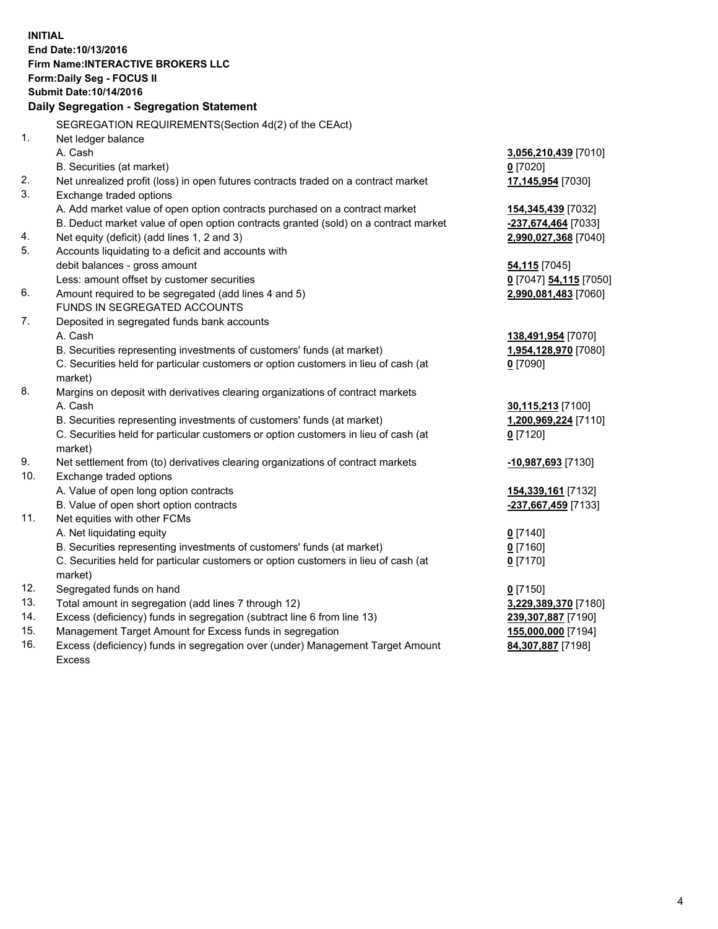**INITIAL End Date:10/13/2016 Firm Name:INTERACTIVE BROKERS LLC Form:Daily Seg - FOCUS II Submit Date:10/14/2016 Daily Segregation - Segregation Statement** SEGREGATION REQUIREMENTS(Section 4d(2) of the CEAct) 1. Net ledger balance A. Cash **3,056,210,439** [7010] B. Securities (at market) **0** [7020] 2. Net unrealized profit (loss) in open futures contracts traded on a contract market **17,145,954** [7030] 3. Exchange traded options A. Add market value of open option contracts purchased on a contract market **154,345,439** [7032] B. Deduct market value of open option contracts granted (sold) on a contract market **-237,674,464** [7033] 4. Net equity (deficit) (add lines 1, 2 and 3) **2,990,027,368** [7040] 5. Accounts liquidating to a deficit and accounts with debit balances - gross amount **54,115** [7045] Less: amount offset by customer securities **0** [7047] **54,115** [7050] 6. Amount required to be segregated (add lines 4 and 5) **2,990,081,483** [7060] FUNDS IN SEGREGATED ACCOUNTS 7. Deposited in segregated funds bank accounts A. Cash **138,491,954** [7070] B. Securities representing investments of customers' funds (at market) **1,954,128,970** [7080] C. Securities held for particular customers or option customers in lieu of cash (at market) **0** [7090] 8. Margins on deposit with derivatives clearing organizations of contract markets A. Cash **30,115,213** [7100] B. Securities representing investments of customers' funds (at market) **1,200,969,224** [7110] C. Securities held for particular customers or option customers in lieu of cash (at market) **0** [7120] 9. Net settlement from (to) derivatives clearing organizations of contract markets **-10,987,693** [7130] 10. Exchange traded options A. Value of open long option contracts **154,339,161** [7132] B. Value of open short option contracts **-237,667,459** [7133] 11. Net equities with other FCMs A. Net liquidating equity **0** [7140] B. Securities representing investments of customers' funds (at market) **0** [7160] C. Securities held for particular customers or option customers in lieu of cash (at market) **0** [7170] 12. Segregated funds on hand **0** [7150] 13. Total amount in segregation (add lines 7 through 12) **3,229,389,370** [7180] 14. Excess (deficiency) funds in segregation (subtract line 6 from line 13) **239,307,887** [7190] 15. Management Target Amount for Excess funds in segregation **155,000,000** [7194] 16. Excess (deficiency) funds in segregation over (under) Management Target Amount **84,307,887** [7198]

Excess